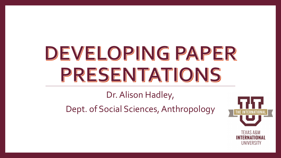# DEVELOPING PAPER PRESENTATIONS

#### Dr. Alison Hadley,

Dept. of Social Sciences, Anthropology



**INTERNATIONAL** UNIVERSITY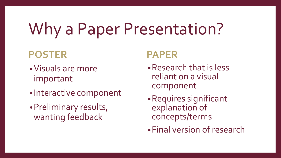## Why a Paper Presentation?

#### **POSTER**

- •Visuals are more important
- Interactive component
- •Preliminary results, wanting feedback

#### **PAPER**

- •Research that is less reliant on a visual component
- •Requires significant explanation of concepts/terms
- •Final version of research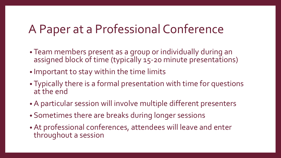#### A Paper at a Professional Conference

- Team members present as a group or individually during an assigned block of time (typically 15-20 minute presentations)
- Important to stay within the time limits
- Typically there is a formal presentation with time for questions at the end
- A particular session will involve multiple different presenters
- Sometimes there are breaks during longer sessions
- At professional conferences, attendees will leave and enter throughout a session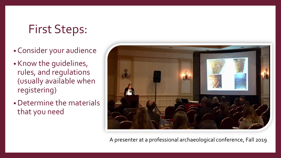#### First Steps:

- Consider your audience
- Know the guidelines, rules, and regulations (usually available when registering)
- •Determine the materials that you need

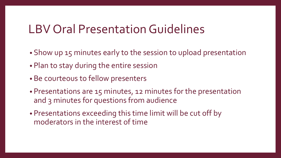#### LBV Oral Presentation Guidelines

- Show up 15 minutes early to the session to upload presentation
- Plan to stay during the entire session
- Be courteous to fellow presenters
- Presentations are 15 minutes, 12 minutes for the presentation and 3 minutes for questions from audience
- Presentations exceeding this time limit will be cut off by moderators in the interest of time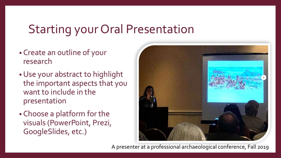#### Starting your Oral Presentation

- Create an outline of your research
- •Use your abstract to highlight the important aspects that you want to include in the presentation
- Choose a platform for the visuals (PowerPoint, Prezi, GoogleSlides, etc.)

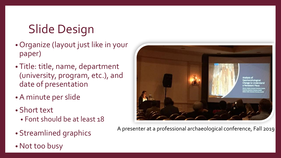## Slide Design

- Organize (layout just like in your paper)
- Title: title, name, department (university, program, etc.), and date of presentation
- A minute per slide
- Short text
	- Font should be at least 18
- Streamlined graphics
- Not too busy

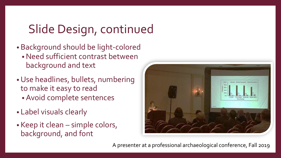### Slide Design, continued

- Background should be light-colored •Need sufficient contrast between background and text
- •Use headlines, bullets, numbering to make it easy to read
	- Avoid complete sentences
- Label visuals clearly
- Keep it clean simple colors, background, and font

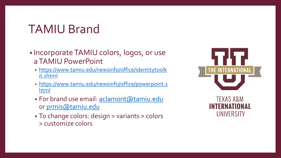#### TAMIU Brand

- Incorporate TAMIU colors, logos, or use a TAMIU PowerPoint
	- [https://www.tamiu.edu/newsinfo/office/identitytoolk](https://www.tamiu.edu/newsinfo/office/identitytoolkit.shtml) it.shtml
	- [https://www.tamiu.edu/newsinfo/office/powerpoint.s](https://www.tamiu.edu/newsinfo/office/powerpoint.shtml) html
	- For brand use email: [aclamont@tamiu.edu](mailto:aclamont@tamiu.edu) or [prmis@tamiu.edu](mailto:prmis@tamiu.edu)
	- To change colors: design > variants > colors > customize colors



INTERNATIONAL

UNIVERSITY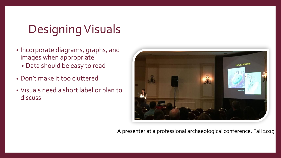### Designing Visuals

- Incorporate diagrams, graphs, and images when appropriate • Data should be easy to read
- Don't make it too cluttered
- Visuals need a short label or plan to discuss

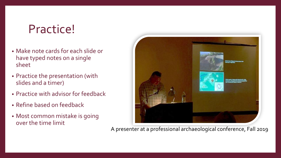#### Practice!

- Make note cards for each slide or have typed notes on a single sheet
- Practice the presentation (with slides and a timer)
- Practice with advisor for feedback
- Refine based on feedback
- Most common mistake is going over the time limit

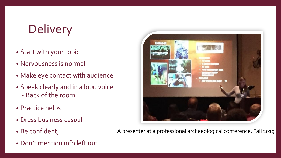## **Delivery**

- Start with your topic
- Nervousness is normal
- Make eye contact with audience
- Speak clearly and in a loud voice
	- Back of the room
- Practice helps
- Dress business casual
- Be confident,
- Don't mention info left out

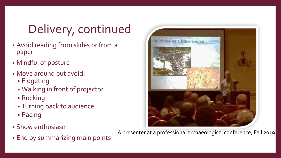## Delivery, continued

- Avoid reading from slides or from a paper
- Mindful of posture
- Move around but avoid:
	- Fidgeting
	- Walking in front of projector
	- Rocking
	- Turning back to audience
	- Pacing
- Show enthusiasm
- End by summarizing main points

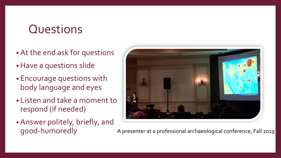#### **Questions**

- At the end ask for questions
- •Have a questions slide
- Encourage questions with body language and eyes
- Listen and take a moment to respond (if needed)
- Answer politely, briefly, and good-humoredly

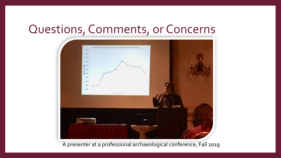#### Questions, Comments, or Concerns